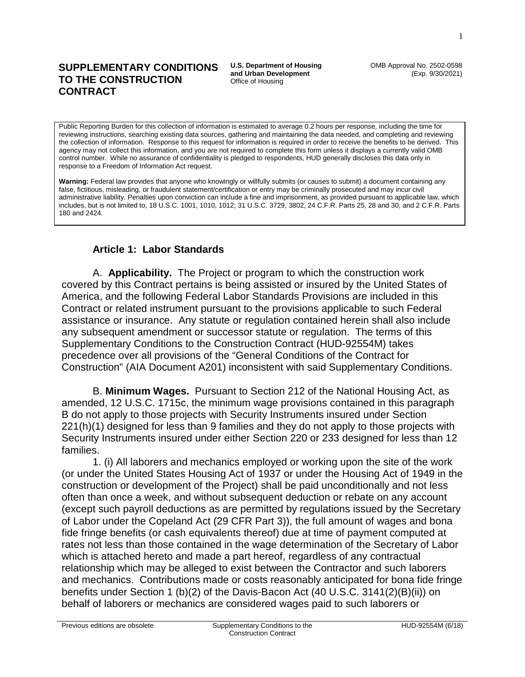#### **SUPPLEMENTARY CONDITIONS TO THE CONSTRUCTION CONTRACT**

**U.S. Department of Housing and Urban Development**  Office of Housing

OMB Approval No. 2502-0598 (Exp. 9/30/2021)

Public Reporting Burden for this collection of information is estimated to average 0.2 hours per response, including the time for reviewing instructions, searching existing data sources, gathering and maintaining the data needed, and completing and reviewing the collection of information. Response to this request for information is required in order to receive the benefits to be derived. This agency may not collect this information, and you are not required to complete this form unless it displays a currently valid OMB control number. While no assurance of confidentiality is pledged to respondents, HUD generally discloses this data only in response to a Freedom of Information Act request.

**Warning:** Federal law provides that anyone who knowingly or willfully submits (or causes to submit) a document containing any false, fictitious, misleading, or fraudulent statement/certification or entry may be criminally prosecuted and may incur civil administrative liability. Penalties upon conviction can include a fine and imprisonment, as provided pursuant to applicable law, which includes, but is not limited to, 18 U.S.C. 1001, 1010, 1012; 31 U.S.C. 3729, 3802, 24 C.F.R. Parts 25, 28 and 30, and 2 C.F.R. Parts 180 and 2424.

### **Article 1: Labor Standards**

A. **Applicability.** The Project or program to which the construction work covered by this Contract pertains is being assisted or insured by the United States of America, and the following Federal Labor Standards Provisions are included in this Contract or related instrument pursuant to the provisions applicable to such Federal assistance or insurance. Any statute or regulation contained herein shall also include any subsequent amendment or successor statute or regulation. The terms of this Supplementary Conditions to the Construction Contract (HUD-92554M) takes precedence over all provisions of the "General Conditions of the Contract for Construction" (AIA Document A201) inconsistent with said Supplementary Conditions.

B. **Minimum Wages.** Pursuant to Section 212 of the National Housing Act, as amended, 12 U.S.C. 1715c, the minimum wage provisions contained in this paragraph B do not apply to those projects with Security Instruments insured under Section 221(h)(1) designed for less than 9 families and they do not apply to those projects with Security Instruments insured under either Section 220 or 233 designed for less than 12 families.

1. (i) All laborers and mechanics employed or working upon the site of the work (or under the United States Housing Act of 1937 or under the Housing Act of 1949 in the construction or development of the Project) shall be paid unconditionally and not less often than once a week, and without subsequent deduction or rebate on any account (except such payroll deductions as are permitted by regulations issued by the Secretary of Labor under the Copeland Act (29 CFR Part 3)), the full amount of wages and bona fide fringe benefits (or cash equivalents thereof) due at time of payment computed at rates not less than those contained in the wage determination of the Secretary of Labor which is attached hereto and made a part hereof, regardless of any contractual relationship which may be alleged to exist between the Contractor and such laborers and mechanics. Contributions made or costs reasonably anticipated for bona fide fringe benefits under Section 1 (b)(2) of the Davis-Bacon Act (40 U.S.C. 3141(2)(B)(ii)) on behalf of laborers or mechanics are considered wages paid to such laborers or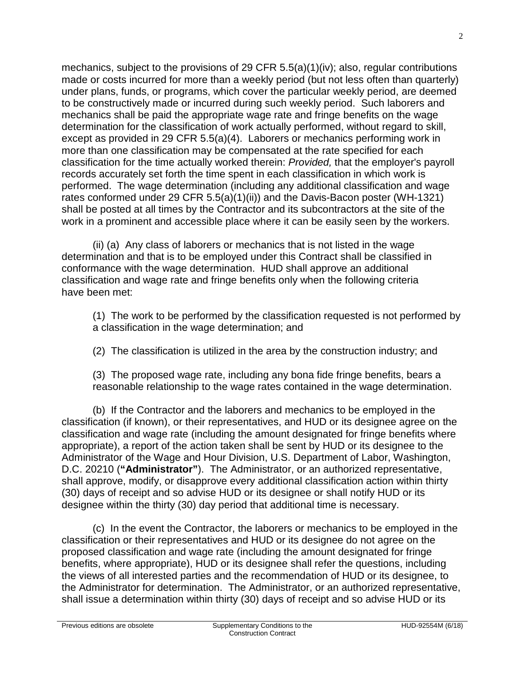mechanics, subject to the provisions of 29 CFR 5.5(a)(1)(iv); also, regular contributions made or costs incurred for more than a weekly period (but not less often than quarterly) under plans, funds, or programs, which cover the particular weekly period, are deemed to be constructively made or incurred during such weekly period. Such laborers and mechanics shall be paid the appropriate wage rate and fringe benefits on the wage determination for the classification of work actually performed, without regard to skill, except as provided in 29 CFR 5.5(a)(4). Laborers or mechanics performing work in more than one classification may be compensated at the rate specified for each classification for the time actually worked therein: *Provided,* that the employer's payroll records accurately set forth the time spent in each classification in which work is performed. The wage determination (including any additional classification and wage rates conformed under 29 CFR 5.5(a)(1)(ii)) and the Davis-Bacon poster (WH-1321) shall be posted at all times by the Contractor and its subcontractors at the site of the work in a prominent and accessible place where it can be easily seen by the workers.

(ii) (a) Any class of laborers or mechanics that is not listed in the wage determination and that is to be employed under this Contract shall be classified in conformance with the wage determination. HUD shall approve an additional classification and wage rate and fringe benefits only when the following criteria have been met:

(1) The work to be performed by the classification requested is not performed by a classification in the wage determination; and

(2) The classification is utilized in the area by the construction industry; and

(3) The proposed wage rate, including any bona fide fringe benefits, bears a reasonable relationship to the wage rates contained in the wage determination.

(b) If the Contractor and the laborers and mechanics to be employed in the classification (if known), or their representatives, and HUD or its designee agree on the classification and wage rate (including the amount designated for fringe benefits where appropriate), a report of the action taken shall be sent by HUD or its designee to the Administrator of the Wage and Hour Division, U.S. Department of Labor, Washington, D.C. 20210 (**"Administrator"**). The Administrator, or an authorized representative, shall approve, modify, or disapprove every additional classification action within thirty (30) days of receipt and so advise HUD or its designee or shall notify HUD or its designee within the thirty (30) day period that additional time is necessary.

(c) In the event the Contractor, the laborers or mechanics to be employed in the classification or their representatives and HUD or its designee do not agree on the proposed classification and wage rate (including the amount designated for fringe benefits, where appropriate), HUD or its designee shall refer the questions, including the views of all interested parties and the recommendation of HUD or its designee, to the Administrator for determination. The Administrator, or an authorized representative, shall issue a determination within thirty (30) days of receipt and so advise HUD or its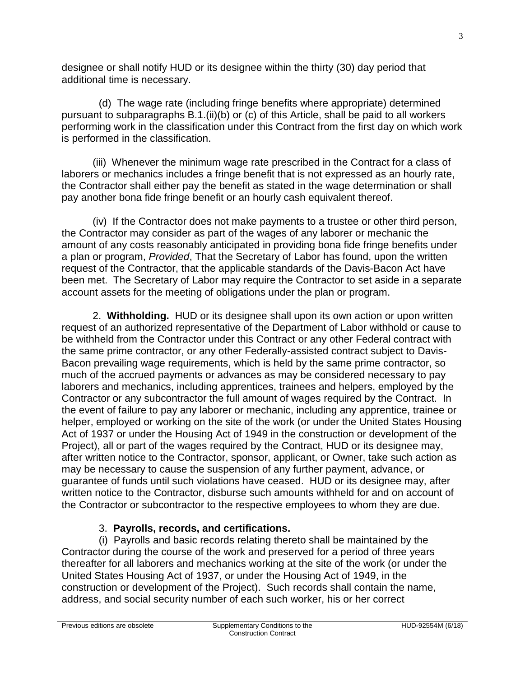designee or shall notify HUD or its designee within the thirty (30) day period that additional time is necessary.

(d) The wage rate (including fringe benefits where appropriate) determined pursuant to subparagraphs B.1.(ii)(b) or (c) of this Article, shall be paid to all workers performing work in the classification under this Contract from the first day on which work is performed in the classification.

(iii) Whenever the minimum wage rate prescribed in the Contract for a class of laborers or mechanics includes a fringe benefit that is not expressed as an hourly rate, the Contractor shall either pay the benefit as stated in the wage determination or shall pay another bona fide fringe benefit or an hourly cash equivalent thereof.

(iv) If the Contractor does not make payments to a trustee or other third person, the Contractor may consider as part of the wages of any laborer or mechanic the amount of any costs reasonably anticipated in providing bona fide fringe benefits under a plan or program, *Provided*, That the Secretary of Labor has found, upon the written request of the Contractor, that the applicable standards of the Davis-Bacon Act have been met. The Secretary of Labor may require the Contractor to set aside in a separate account assets for the meeting of obligations under the plan or program.

2. **Withholding.** HUD or its designee shall upon its own action or upon written request of an authorized representative of the Department of Labor withhold or cause to be withheld from the Contractor under this Contract or any other Federal contract with the same prime contractor, or any other Federally-assisted contract subject to Davis-Bacon prevailing wage requirements, which is held by the same prime contractor, so much of the accrued payments or advances as may be considered necessary to pay laborers and mechanics, including apprentices, trainees and helpers, employed by the Contractor or any subcontractor the full amount of wages required by the Contract. In the event of failure to pay any laborer or mechanic, including any apprentice, trainee or helper, employed or working on the site of the work (or under the United States Housing Act of 1937 or under the Housing Act of 1949 in the construction or development of the Project), all or part of the wages required by the Contract, HUD or its designee may, after written notice to the Contractor, sponsor, applicant, or Owner, take such action as may be necessary to cause the suspension of any further payment, advance, or guarantee of funds until such violations have ceased. HUD or its designee may, after written notice to the Contractor, disburse such amounts withheld for and on account of the Contractor or subcontractor to the respective employees to whom they are due.

## 3. **Payrolls, records, and certifications.**

(i) Payrolls and basic records relating thereto shall be maintained by the Contractor during the course of the work and preserved for a period of three years thereafter for all laborers and mechanics working at the site of the work (or under the United States Housing Act of 1937, or under the Housing Act of 1949, in the construction or development of the Project). Such records shall contain the name, address, and social security number of each such worker, his or her correct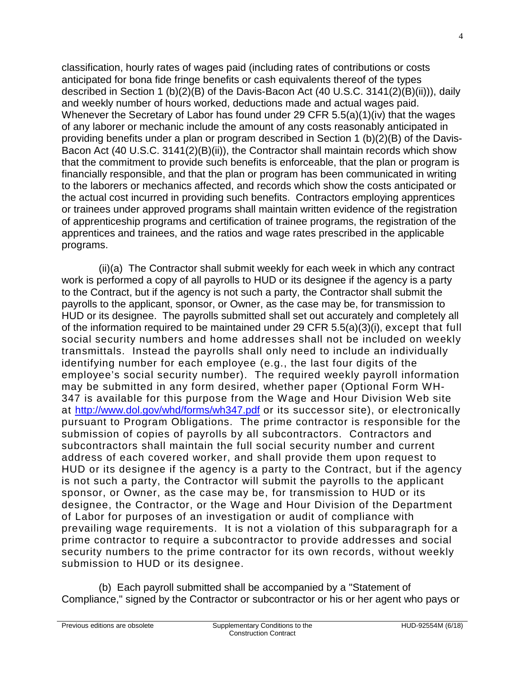classification, hourly rates of wages paid (including rates of contributions or costs anticipated for bona fide fringe benefits or cash equivalents thereof of the types described in Section 1 (b)(2)(B) of the Davis-Bacon Act (40 U.S.C. 3141(2)(B)(ii))), daily and weekly number of hours worked, deductions made and actual wages paid. Whenever the Secretary of Labor has found under 29 CFR 5.5(a)(1)(iv) that the wages of any laborer or mechanic include the amount of any costs reasonably anticipated in providing benefits under a plan or program described in Section 1 (b)(2)(B) of the Davis-Bacon Act (40 U.S.C. 3141(2)(B)(ii)), the Contractor shall maintain records which show that the commitment to provide such benefits is enforceable, that the plan or program is financially responsible, and that the plan or program has been communicated in writing to the laborers or mechanics affected, and records which show the costs anticipated or the actual cost incurred in providing such benefits. Contractors employing apprentices or trainees under approved programs shall maintain written evidence of the registration of apprenticeship programs and certification of trainee programs, the registration of the apprentices and trainees, and the ratios and wage rates prescribed in the applicable programs.

(ii)(a) The Contractor shall submit weekly for each week in which any contract work is performed a copy of all payrolls to HUD or its designee if the agency is a party to the Contract, but if the agency is not such a party, the Contractor shall submit the payrolls to the applicant, sponsor, or Owner, as the case may be, for transmission to HUD or its designee. The payrolls submitted shall set out accurately and completely all of the information required to be maintained under 29 CFR 5.5(a)(3)(i), except that full social security numbers and home addresses shall not be included on weekly transmittals. Instead the payrolls shall only need to include an individually identifying number for each employee (e.g., the last four digits of the employee's social security number). The required weekly payroll information may be submitted in any form desired, whether paper (Optional Form WH-347 is available for this purpose from the Wage and Hour Division Web site at<http://www.dol.gov/whd/forms/wh347.pdf> or its successor site), or electronically pursuant to Program Obligations. The prime contractor is responsible for the submission of copies of payrolls by all subcontractors. Contractors and subcontractors shall maintain the full social security number and current address of each covered worker, and shall provide them upon request to HUD or its designee if the agency is a party to the Contract, but if the agency is not such a party, the Contractor will submit the payrolls to the applicant sponsor, or Owner, as the case may be, for transmission to HUD or its designee, the Contractor, or the Wage and Hour Division of the Department of Labor for purposes of an investigation or audit of compliance with prevailing wage requirements. It is not a violation of this subparagraph for a prime contractor to require a subcontractor to provide addresses and social security numbers to the prime contractor for its own records, without weekly submission to HUD or its designee.

(b) Each payroll submitted shall be accompanied by a "Statement of Compliance," signed by the Contractor or subcontractor or his or her agent who pays or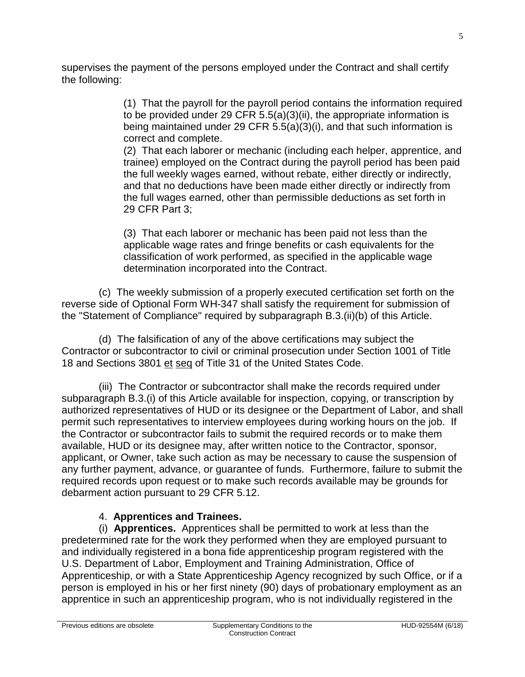supervises the payment of the persons employed under the Contract and shall certify the following:

> (1) That the payroll for the payroll period contains the information required to be provided under 29 CFR 5.5(a)(3)(ii), the appropriate information is being maintained under 29 CFR 5.5(a)(3)(i), and that such information is correct and complete.

> (2) That each laborer or mechanic (including each helper, apprentice, and trainee) employed on the Contract during the payroll period has been paid the full weekly wages earned, without rebate, either directly or indirectly, and that no deductions have been made either directly or indirectly from the full wages earned, other than permissible deductions as set forth in 29 CFR Part 3;

(3) That each laborer or mechanic has been paid not less than the applicable wage rates and fringe benefits or cash equivalents for the classification of work performed, as specified in the applicable wage determination incorporated into the Contract.

(c) The weekly submission of a properly executed certification set forth on the reverse side of Optional Form WH-347 shall satisfy the requirement for submission of the "Statement of Compliance" required by subparagraph B.3.(ii)(b) of this Article.

(d) The falsification of any of the above certifications may subject the Contractor or subcontractor to civil or criminal prosecution under Section 1001 of Title 18 and Sections 3801 et seq of Title 31 of the United States Code.

(iii) The Contractor or subcontractor shall make the records required under subparagraph B.3.(i) of this Article available for inspection, copying, or transcription by authorized representatives of HUD or its designee or the Department of Labor, and shall permit such representatives to interview employees during working hours on the job. If the Contractor or subcontractor fails to submit the required records or to make them available, HUD or its designee may, after written notice to the Contractor, sponsor, applicant, or Owner, take such action as may be necessary to cause the suspension of any further payment, advance, or guarantee of funds. Furthermore, failure to submit the required records upon request or to make such records available may be grounds for debarment action pursuant to 29 CFR 5.12.

## 4. **Apprentices and Trainees.**

(i) **Apprentices.** Apprentices shall be permitted to work at less than the predetermined rate for the work they performed when they are employed pursuant to and individually registered in a bona fide apprenticeship program registered with the U.S. Department of Labor, Employment and Training Administration, Office of Apprenticeship, or with a State Apprenticeship Agency recognized by such Office, or if a person is employed in his or her first ninety (90) days of probationary employment as an apprentice in such an apprenticeship program, who is not individually registered in the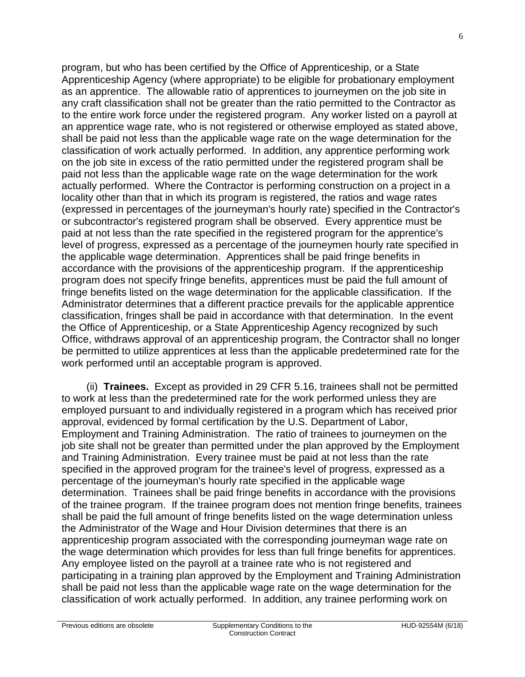program, but who has been certified by the Office of Apprenticeship, or a State Apprenticeship Agency (where appropriate) to be eligible for probationary employment as an apprentice. The allowable ratio of apprentices to journeymen on the job site in any craft classification shall not be greater than the ratio permitted to the Contractor as to the entire work force under the registered program. Any worker listed on a payroll at an apprentice wage rate, who is not registered or otherwise employed as stated above, shall be paid not less than the applicable wage rate on the wage determination for the classification of work actually performed. In addition, any apprentice performing work on the job site in excess of the ratio permitted under the registered program shall be paid not less than the applicable wage rate on the wage determination for the work actually performed. Where the Contractor is performing construction on a project in a locality other than that in which its program is registered, the ratios and wage rates (expressed in percentages of the journeyman's hourly rate) specified in the Contractor's or subcontractor's registered program shall be observed. Every apprentice must be paid at not less than the rate specified in the registered program for the apprentice's level of progress, expressed as a percentage of the journeymen hourly rate specified in the applicable wage determination. Apprentices shall be paid fringe benefits in accordance with the provisions of the apprenticeship program. If the apprenticeship program does not specify fringe benefits, apprentices must be paid the full amount of fringe benefits listed on the wage determination for the applicable classification. If the Administrator determines that a different practice prevails for the applicable apprentice classification, fringes shall be paid in accordance with that determination. In the event the Office of Apprenticeship, or a State Apprenticeship Agency recognized by such Office, withdraws approval of an apprenticeship program, the Contractor shall no longer be permitted to utilize apprentices at less than the applicable predetermined rate for the work performed until an acceptable program is approved.

(ii) **Trainees.** Except as provided in 29 CFR 5.16, trainees shall not be permitted to work at less than the predetermined rate for the work performed unless they are employed pursuant to and individually registered in a program which has received prior approval, evidenced by formal certification by the U.S. Department of Labor, Employment and Training Administration. The ratio of trainees to journeymen on the job site shall not be greater than permitted under the plan approved by the Employment and Training Administration. Every trainee must be paid at not less than the rate specified in the approved program for the trainee's level of progress, expressed as a percentage of the journeyman's hourly rate specified in the applicable wage determination. Trainees shall be paid fringe benefits in accordance with the provisions of the trainee program. If the trainee program does not mention fringe benefits, trainees shall be paid the full amount of fringe benefits listed on the wage determination unless the Administrator of the Wage and Hour Division determines that there is an apprenticeship program associated with the corresponding journeyman wage rate on the wage determination which provides for less than full fringe benefits for apprentices. Any employee listed on the payroll at a trainee rate who is not registered and participating in a training plan approved by the Employment and Training Administration shall be paid not less than the applicable wage rate on the wage determination for the classification of work actually performed. In addition, any trainee performing work on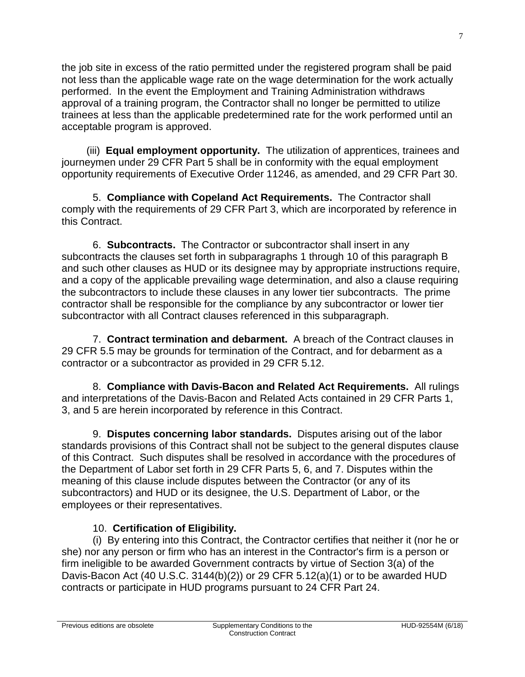the job site in excess of the ratio permitted under the registered program shall be paid not less than the applicable wage rate on the wage determination for the work actually performed. In the event the Employment and Training Administration withdraws approval of a training program, the Contractor shall no longer be permitted to utilize trainees at less than the applicable predetermined rate for the work performed until an acceptable program is approved.

(iii) **Equal employment opportunity.** The utilization of apprentices, trainees and journeymen under 29 CFR Part 5 shall be in conformity with the equal employment opportunity requirements of Executive Order 11246, as amended, and 29 CFR Part 30.

5. **Compliance with Copeland Act Requirements.** The Contractor shall comply with the requirements of 29 CFR Part 3, which are incorporated by reference in this Contract.

6. **Subcontracts.** The Contractor or subcontractor shall insert in any subcontracts the clauses set forth in subparagraphs 1 through 10 of this paragraph B and such other clauses as HUD or its designee may by appropriate instructions require, and a copy of the applicable prevailing wage determination, and also a clause requiring the subcontractors to include these clauses in any lower tier subcontracts. The prime contractor shall be responsible for the compliance by any subcontractor or lower tier subcontractor with all Contract clauses referenced in this subparagraph.

7. **Contract termination and debarment.** A breach of the Contract clauses in 29 CFR 5.5 may be grounds for termination of the Contract, and for debarment as a contractor or a subcontractor as provided in 29 CFR 5.12.

8. **Compliance with Davis-Bacon and Related Act Requirements.** All rulings and interpretations of the Davis-Bacon and Related Acts contained in 29 CFR Parts 1, 3, and 5 are herein incorporated by reference in this Contract.

9. **Disputes concerning labor standards.** Disputes arising out of the labor standards provisions of this Contract shall not be subject to the general disputes clause of this Contract. Such disputes shall be resolved in accordance with the procedures of the Department of Labor set forth in 29 CFR Parts 5, 6, and 7. Disputes within the meaning of this clause include disputes between the Contractor (or any of its subcontractors) and HUD or its designee, the U.S. Department of Labor, or the employees or their representatives.

# 10. **Certification of Eligibility.**

(i)By entering into this Contract, the Contractor certifies that neither it (nor he or she) nor any person or firm who has an interest in the Contractor's firm is a person or firm ineligible to be awarded Government contracts by virtue of Section 3(a) of the Davis-Bacon Act (40 U.S.C. 3144(b)(2)) or 29 CFR 5.12(a)(1) or to be awarded HUD contracts or participate in HUD programs pursuant to 24 CFR Part 24.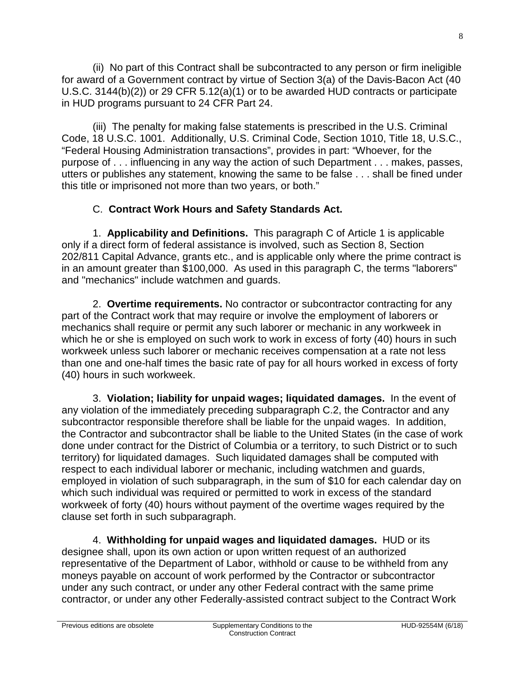(ii) No part of this Contract shall be subcontracted to any person or firm ineligible for award of a Government contract by virtue of Section 3(a) of the Davis-Bacon Act (40 U.S.C. 3144(b)(2)) or 29 CFR 5.12(a)(1) or to be awarded HUD contracts or participate in HUD programs pursuant to 24 CFR Part 24.

(iii) The penalty for making false statements is prescribed in the U.S. Criminal Code, 18 U.S.C. 1001. Additionally, U.S. Criminal Code, Section 1010, Title 18, U.S.C., "Federal Housing Administration transactions", provides in part: "Whoever, for the purpose of . . . influencing in any way the action of such Department . . . makes, passes, utters or publishes any statement, knowing the same to be false . . . shall be fined under this title or imprisoned not more than two years, or both."

# C. **Contract Work Hours and Safety Standards Act.**

1. **Applicability and Definitions.** This paragraph C of Article 1 is applicable only if a direct form of federal assistance is involved, such as Section 8, Section 202/811 Capital Advance, grants etc., and is applicable only where the prime contract is in an amount greater than \$100,000. As used in this paragraph C, the terms "laborers" and "mechanics" include watchmen and guards.

2. **Overtime requirements.** No contractor or subcontractor contracting for any part of the Contract work that may require or involve the employment of laborers or mechanics shall require or permit any such laborer or mechanic in any workweek in which he or she is employed on such work to work in excess of forty (40) hours in such workweek unless such laborer or mechanic receives compensation at a rate not less than one and one-half times the basic rate of pay for all hours worked in excess of forty (40) hours in such workweek.

3. **Violation; liability for unpaid wages; liquidated damages.** In the event of any violation of the immediately preceding subparagraph C.2, the Contractor and any subcontractor responsible therefore shall be liable for the unpaid wages. In addition, the Contractor and subcontractor shall be liable to the United States (in the case of work done under contract for the District of Columbia or a territory, to such District or to such territory) for liquidated damages. Such liquidated damages shall be computed with respect to each individual laborer or mechanic, including watchmen and guards, employed in violation of such subparagraph, in the sum of \$10 for each calendar day on which such individual was required or permitted to work in excess of the standard workweek of forty (40) hours without payment of the overtime wages required by the clause set forth in such subparagraph.

4. **Withholding for unpaid wages and liquidated damages.** HUD or its designee shall, upon its own action or upon written request of an authorized representative of the Department of Labor, withhold or cause to be withheld from any moneys payable on account of work performed by the Contractor or subcontractor under any such contract, or under any other Federal contract with the same prime contractor, or under any other Federally-assisted contract subject to the Contract Work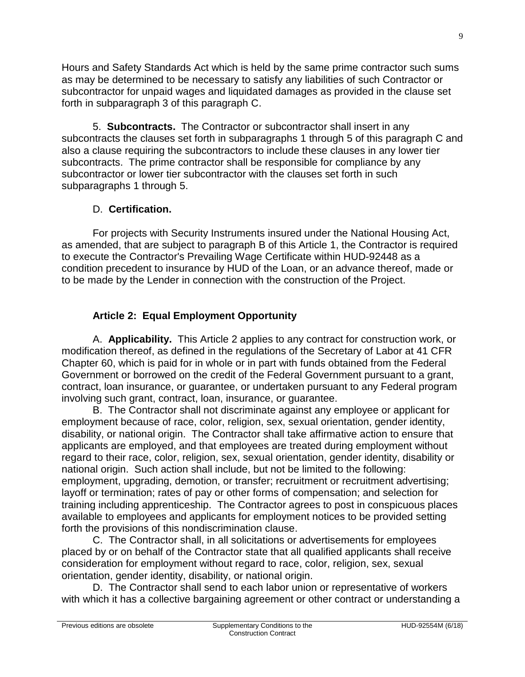Hours and Safety Standards Act which is held by the same prime contractor such sums as may be determined to be necessary to satisfy any liabilities of such Contractor or subcontractor for unpaid wages and liquidated damages as provided in the clause set forth in subparagraph 3 of this paragraph C.

5. **Subcontracts.** The Contractor or subcontractor shall insert in any subcontracts the clauses set forth in subparagraphs 1 through 5 of this paragraph C and also a clause requiring the subcontractors to include these clauses in any lower tier subcontracts. The prime contractor shall be responsible for compliance by any subcontractor or lower tier subcontractor with the clauses set forth in such subparagraphs 1 through 5.

## D. **Certification.**

For projects with Security Instruments insured under the National Housing Act, as amended, that are subject to paragraph B of this Article 1, the Contractor is required to execute the Contractor's Prevailing Wage Certificate within HUD-92448 as a condition precedent to insurance by HUD of the Loan, or an advance thereof, made or to be made by the Lender in connection with the construction of the Project.

# **Article 2: Equal Employment Opportunity**

A. **Applicability.** This Article 2 applies to any contract for construction work, or modification thereof, as defined in the regulations of the Secretary of Labor at 41 CFR Chapter 60, which is paid for in whole or in part with funds obtained from the Federal Government or borrowed on the credit of the Federal Government pursuant to a grant, contract, loan insurance, or guarantee, or undertaken pursuant to any Federal program involving such grant, contract, loan, insurance, or guarantee.

B. The Contractor shall not discriminate against any employee or applicant for employment because of race, color, religion, sex, sexual orientation, gender identity, disability, or national origin. The Contractor shall take affirmative action to ensure that applicants are employed, and that employees are treated during employment without regard to their race, color, religion, sex, sexual orientation, gender identity, disability or national origin. Such action shall include, but not be limited to the following: employment, upgrading, demotion, or transfer; recruitment or recruitment advertising; layoff or termination; rates of pay or other forms of compensation; and selection for training including apprenticeship. The Contractor agrees to post in conspicuous places available to employees and applicants for employment notices to be provided setting forth the provisions of this nondiscrimination clause.

C. The Contractor shall, in all solicitations or advertisements for employees placed by or on behalf of the Contractor state that all qualified applicants shall receive consideration for employment without regard to race, color, religion, sex, sexual orientation, gender identity, disability, or national origin.

D. The Contractor shall send to each labor union or representative of workers with which it has a collective bargaining agreement or other contract or understanding a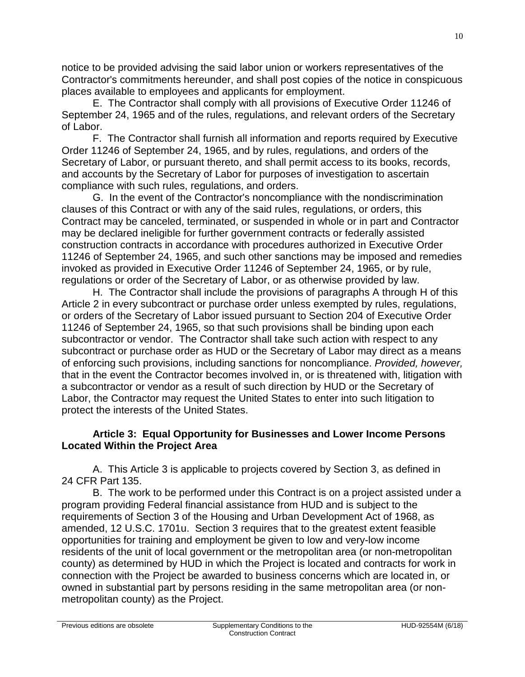notice to be provided advising the said labor union or workers representatives of the Contractor's commitments hereunder, and shall post copies of the notice in conspicuous places available to employees and applicants for employment.

E. The Contractor shall comply with all provisions of Executive Order 11246 of September 24, 1965 and of the rules, regulations, and relevant orders of the Secretary of Labor.

F. The Contractor shall furnish all information and reports required by Executive Order 11246 of September 24, 1965, and by rules, regulations, and orders of the Secretary of Labor, or pursuant thereto, and shall permit access to its books, records, and accounts by the Secretary of Labor for purposes of investigation to ascertain compliance with such rules, regulations, and orders.

G. In the event of the Contractor's noncompliance with the nondiscrimination clauses of this Contract or with any of the said rules, regulations, or orders, this Contract may be canceled, terminated, or suspended in whole or in part and Contractor may be declared ineligible for further government contracts or federally assisted construction contracts in accordance with procedures authorized in Executive Order 11246 of September 24, 1965, and such other sanctions may be imposed and remedies invoked as provided in Executive Order 11246 of September 24, 1965, or by rule, regulations or order of the Secretary of Labor, or as otherwise provided by law.

H. The Contractor shall include the provisions of paragraphs A through H of this Article 2 in every subcontract or purchase order unless exempted by rules, regulations, or orders of the Secretary of Labor issued pursuant to Section 204 of Executive Order 11246 of September 24, 1965, so that such provisions shall be binding upon each subcontractor or vendor. The Contractor shall take such action with respect to any subcontract or purchase order as HUD or the Secretary of Labor may direct as a means of enforcing such provisions, including sanctions for noncompliance. *Provided, however,*  that in the event the Contractor becomes involved in, or is threatened with, litigation with a subcontractor or vendor as a result of such direction by HUD or the Secretary of Labor, the Contractor may request the United States to enter into such litigation to protect the interests of the United States.

### **Article 3: Equal Opportunity for Businesses and Lower Income Persons Located Within the Project Area**

A. This Article 3 is applicable to projects covered by Section 3, as defined in 24 CFR Part 135.

B. The work to be performed under this Contract is on a project assisted under a program providing Federal financial assistance from HUD and is subject to the requirements of Section 3 of the Housing and Urban Development Act of 1968, as amended, 12 U.S.C. 1701u. Section 3 requires that to the greatest extent feasible opportunities for training and employment be given to low and very-low income residents of the unit of local government or the metropolitan area (or non-metropolitan county) as determined by HUD in which the Project is located and contracts for work in connection with the Project be awarded to business concerns which are located in, or owned in substantial part by persons residing in the same metropolitan area (or nonmetropolitan county) as the Project.